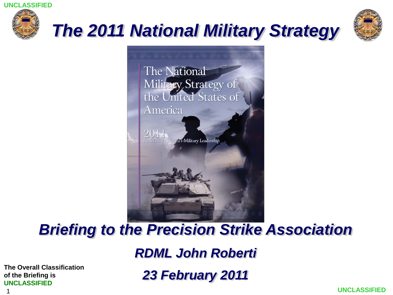

# *The 2011 National Military Strategy*



The National Military Strategy of the United States of America  $201$ 

Redefining America's Military Leadership

### *Briefing to the Precision Strike Association*

*RDML John Roberti*

**The Overall Classification of the Briefing is UNCLASSIFIED**

1

### *23 February 2011*

**UNCLASSIFIED**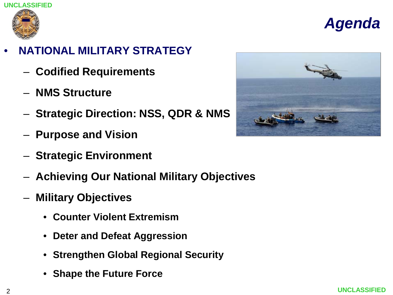



*Agenda*

- **NATIONAL MILITARY STRATEGY**
	- **Codified Requirements**
	- **NMS Structure**
	- **Strategic Direction: NSS, QDR & NMS**
	- **Purpose and Vision**
	- **Strategic Environment**
	- **Achieving Our National Military Objectives**
	- **Military Objectives**
		- **Counter Violent Extremism**
		- **Deter and Defeat Aggression**
		- **Strengthen Global Regional Security**
		- **Shape the Future Force**

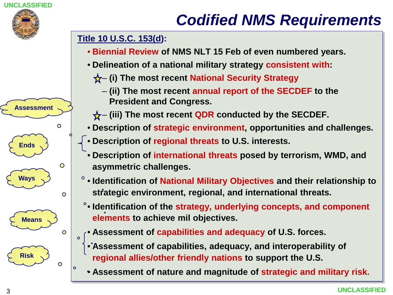

### *Codified NMS Requirements*

### **Title 10 U.S.C. 153(d):**

• **Biennial Review of NMS NLT 15 Feb of even numbered years.** 

- **Delineation of a national military strategy consistent with:** 
	- **(i) The most recent National Security Strategy**
		- **(ii) The most recent annual report of the SECDEF to the President and Congress.**
	- $\frac{1}{\sqrt{6}}$  (iii) The most recent QDR conducted by the SECDEF.
- **Description of strategic environment, opportunities and challenges.**
- **Description of regional threats to U.S. interests.**
- **Description of international threats posed by terrorism, WMD, and asymmetric challenges.**
- **Identification of National Military Objectives and their relationship to strategic environment, regional, and international threats.**
- **Identification of the strategy, underlying concepts, and component elements to achieve mil objectives.**
- **Assessment of capabilities and adequacy of U.S. forces.**
- **Assessment of capabilities, adequacy, and interoperability of regional allies/other friendly nations to support the U.S.**
- **Assessment of nature and magnitude of strategic and military risk.**

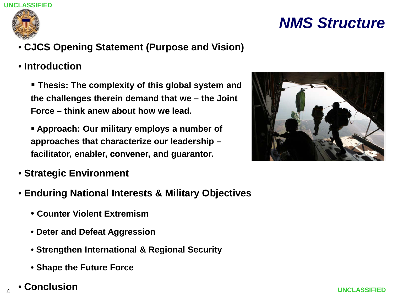



### *NMS Structure*

- **CJCS Opening Statement (Purpose and Vision)**
- **Introduction**
	- **Thesis: The complexity of this global system and the challenges therein demand that we – the Joint Force – think anew about how we lead.**
	- **Approach: Our military employs a number of approaches that characterize our leadership – facilitator, enabler, convener, and guarantor.**
- **Strategic Environment**
- **Enduring National Interests & Military Objectives**
	- **Counter Violent Extremism**
	- **Deter and Defeat Aggression**
	- **Strengthen International & Regional Security**
	- **Shape the Future Force**
- **Conclusion**

4

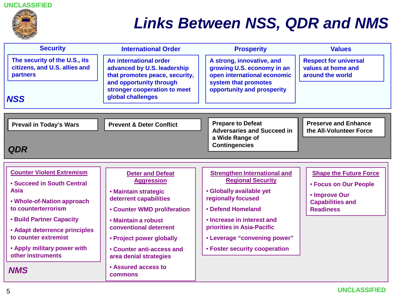

### *Links Between NSS, QDR and NMS*

| <b>Security</b>                                                                                                                                                                                                                                                                    | <b>International Order</b>                                                                                                                                                                                                              | <b>Prosperity</b>                                                                                                                                                                                                                                                   | <b>Values</b>                                                                                                                 |
|------------------------------------------------------------------------------------------------------------------------------------------------------------------------------------------------------------------------------------------------------------------------------------|-----------------------------------------------------------------------------------------------------------------------------------------------------------------------------------------------------------------------------------------|---------------------------------------------------------------------------------------------------------------------------------------------------------------------------------------------------------------------------------------------------------------------|-------------------------------------------------------------------------------------------------------------------------------|
| The security of the U.S., its<br>citizens, and U.S. allies and<br><b>partners</b><br><b>NSS</b>                                                                                                                                                                                    | An international order<br>advanced by U.S. leadership<br>that promotes peace, security,<br>and opportunity through<br>stronger cooperation to meet<br>global challenges                                                                 | A strong, innovative, and<br>growing U.S. economy in an<br>open international economic<br>system that promotes<br>opportunity and prosperity                                                                                                                        | <b>Respect for universal</b><br>values at home and<br>around the world                                                        |
| <b>Prevail in Today's Wars</b><br><b>QDR</b>                                                                                                                                                                                                                                       | <b>Prevent &amp; Deter Conflict</b>                                                                                                                                                                                                     | <b>Prepare to Defeat</b><br><b>Adversaries and Succeed in</b><br>a Wide Range of<br><b>Contingencies</b>                                                                                                                                                            | <b>Preserve and Enhance</b><br>the All-Volunteer Force                                                                        |
| <b>Counter Violent Extremism</b><br>• Succeed in South Central<br><b>Asia</b><br>• Whole-of-Nation approach<br>to counterterrorism<br><b>• Build Partner Capacity</b><br>• Adapt deterrence principles<br>to counter extremist<br>• Apply military power with<br>other instruments | <b>Deter and Defeat</b><br><b>Aggression</b><br>• Maintain strategic<br>deterrent capabilities<br>• Counter WMD proliferation<br>• Maintain a robust<br>conventional deterrent<br>• Project power globally<br>• Counter anti-access and | <b>Strengthen International and</b><br><b>Regional Security</b><br>• Globally available yet<br>regionally focused<br>• Defend Homeland<br>• Increase in interest and<br>priorities in Asia-Pacific<br>• Leverage "convening power"<br>• Foster security cooperation | <b>Shape the Future Force</b><br><b>• Focus on Our People</b><br>• Improve Our<br><b>Capabilities and</b><br><b>Readiness</b> |
| <b>NMS</b>                                                                                                                                                                                                                                                                         | area denial strategies<br>• Assured access to<br><b>commons</b>                                                                                                                                                                         |                                                                                                                                                                                                                                                                     |                                                                                                                               |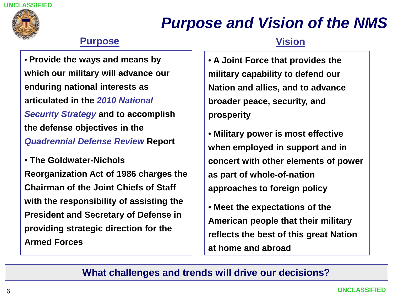

### *Purpose and Vision of the NMS*

### **Purpose Vision**

• **Provide the ways and means by which our military will advance our enduring national interests as articulated in the** *2010 National Security Strategy* **and to accomplish the defense objectives in the**  *Quadrennial Defense Review* **Report**

• **The Goldwater-Nichols Reorganization Act of 1986 charges the Chairman of the Joint Chiefs of Staff with the responsibility of assisting the President and Secretary of Defense in providing strategic direction for the Armed Forces**

• **A Joint Force that provides the military capability to defend our Nation and allies, and to advance broader peace, security, and prosperity**

• **Military power is most effective when employed in support and in concert with other elements of power as part of whole-of-nation approaches to foreign policy**

• **Meet the expectations of the American people that their military reflects the best of this great Nation at home and abroad**

### **What challenges and trends will drive our decisions?**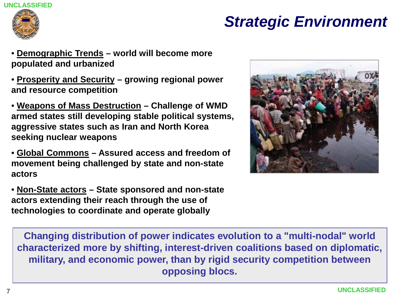



### *Strategic Environment*

- **Demographic Trends – world will become more populated and urbanized**
- **Prosperity and Security – growing regional power and resource competition**
- **Weapons of Mass Destruction – Challenge of WMD armed states still developing stable political systems, aggressive states such as Iran and North Korea seeking nuclear weapons**
- **Global Commons – Assured access and freedom of movement being challenged by state and non-state actors**
- **Non-State actors – State sponsored and non-state actors extending their reach through the use of technologies to coordinate and operate globally**



**Changing distribution of power indicates evolution to a "multi-nodal" world characterized more by shifting, interest-driven coalitions based on diplomatic, military, and economic power, than by rigid security competition between opposing blocs.**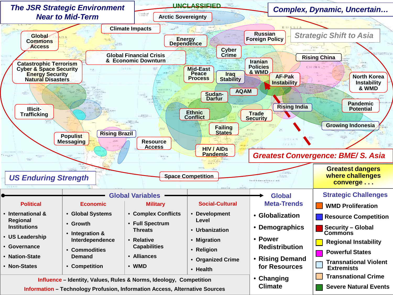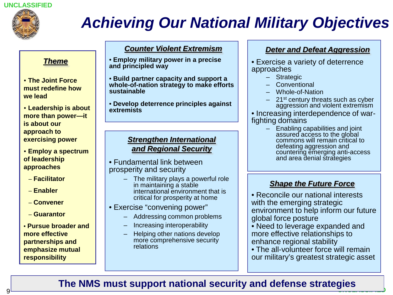

## *Achieving Our National Military Objectives*

#### *Counter Violent Extremism*

- **Employ military power in a precise and principled way**
- **Build partner capacity and support a whole-of-nation strategy to make efforts sustainable**

• **Develop deterrence principles against extremists**

### *Strengthen International and Regional Security*

- Fundamental link between prosperity and security
	- The military plays a powerful role in maintaining a stable international environment that is critical for prosperity at home
- Exercise "convening power"
	- Addressing common problems
	- Increasing interoperability
	- Helping other nations develop more comprehensive security relations

### *Deter and Defeat Aggression*

- Exercise a variety of deterrence approaches
	- Strategic
	- **Conventional**
	- Whole-of-Nation
	- 21<sup>st</sup> century threats such as cyber aggression and violent extremism
- Increasing interdependence of war- fighting domains
	- Enabling capabilities and joint assured access to the global commons will remain critical to defeating aggression and countering emerging anti-access and area denial strategies

### *Shape the Future Force*

• Reconcile our national interests with the emerging strategic environment to help inform our future global force posture

- Need to leverage expanded and more effective relationships to enhance regional stability
- The all-volunteer force will remain our military's greatest strategic asset

#### <del>UNCLASSIFIED</del> **The NMS must support national security and defense strategies**

– **Enabler**

– **Facilitator**

 **The Joint Force must redefine how** 

*Theme*

 **Leadership is about more than power—it** 

**we lead**

**is about our approach to** 

**of leadership approaches**

**exercising power**

**Employ a spectrum** 

- **Convener**
- **Guarantor**

9

• **Pursue broader and more effective partnerships and emphasize mutual responsibility**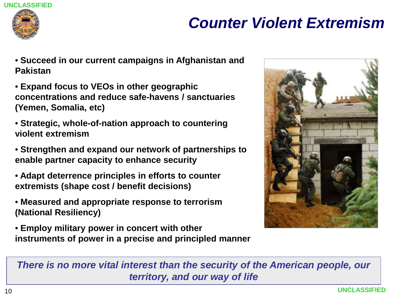



### *Counter Violent Extremism*

- **Succeed in our current campaigns in Afghanistan and Pakistan**
- **Expand focus to VEOs in other geographic concentrations and reduce safe-havens / sanctuaries (Yemen, Somalia, etc)**
- **Strategic, whole-of-nation approach to countering violent extremism**
- **Strengthen and expand our network of partnerships to enable partner capacity to enhance security**
- **Adapt deterrence principles in efforts to counter extremists (shape cost / benefit decisions)**
- **Measured and appropriate response to terrorism (National Resiliency)**
- **Employ military power in concert with other instruments of power in a precise and principled manner**



*There is no more vital interest than the security of the American people, our territory, and our way of life*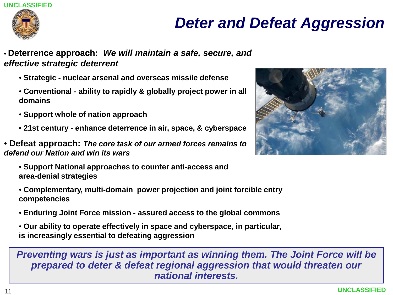



### *Deter and Defeat Aggression*

- **Deterrence approach:** *We will maintain a safe, secure, and effective strategic deterrent*
	- **Strategic - nuclear arsenal and overseas missile defense**
	- **Conventional - ability to rapidly & globally project power in all domains**
	- **Support whole of nation approach**
	- **21st century - enhance deterrence in air, space, & cyberspace**
- **Defeat approach:** *The core task of our armed forces remains to defend our Nation and win its wars*



- **Support National approaches to counter anti-access and area-denial strategies**
- **Complementary, multi-domain power projection and joint forcible entry competencies**
- **Enduring Joint Force mission - assured access to the global commons**
- **Our ability to operate effectively in space and cyberspace, in particular, is increasingly essential to defeating aggression**

### *Preventing wars is just as important as winning them. The Joint Force will be prepared to deter & defeat regional aggression that would threaten our national interests.*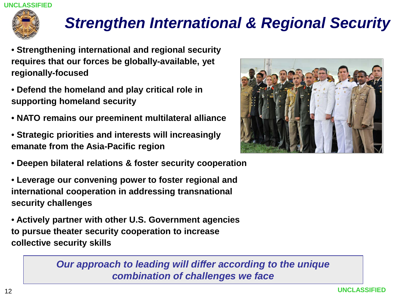

## *Strengthen International & Regional Security*

- **Strengthening international and regional security requires that our forces be globally-available, yet regionally-focused**
- **Defend the homeland and play critical role in supporting homeland security**
- **NATO remains our preeminent multilateral alliance**
- **Strategic priorities and interests will increasingly emanate from the Asia-Pacific region**
- **Deepen bilateral relations & foster security cooperation**
- **Leverage our convening power to foster regional and international cooperation in addressing transnational security challenges**
- **Actively partner with other U.S. Government agencies to pursue theater security cooperation to increase collective security skills**

*Our approach to leading will differ according to the unique combination of challenges we face*

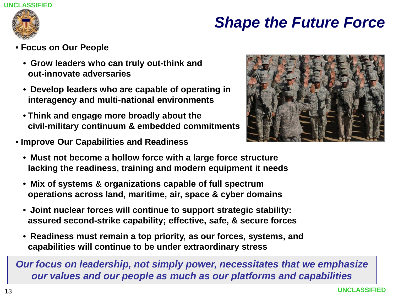



### *Shape the Future Force*

- **Focus on Our People** 
	- **Grow leaders who can truly out-think and out-innovate adversaries**
	- **Develop leaders who are capable of operating in interagency and multi-national environments**
	- **Think and engage more broadly about the civil-military continuum & embedded commitments**
- **Improve Our Capabilities and Readiness**



- **Must not become a hollow force with a large force structure lacking the readiness, training and modern equipment it needs**
- **Mix of systems & organizations capable of full spectrum operations across land, maritime, air, space & cyber domains**
- **Joint nuclear forces will continue to support strategic stability: assured second-strike capability; effective, safe, & secure forces**
- **Readiness must remain a top priority, as our forces, systems, and capabilities will continue to be under extraordinary stress**

*Our focus on leadership, not simply power, necessitates that we emphasize our values and our people as much as our platforms and capabilities*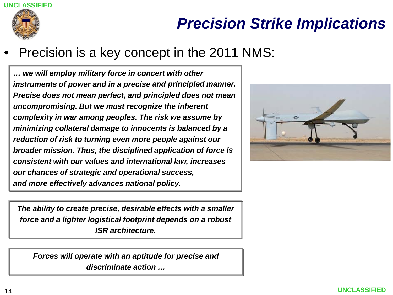

### *Precision Strike Implications*

### Precision is a key concept in the 2011 NMS:

*… we will employ military force in concert with other instruments of power and in a precise and principled manner. Precise does not mean perfect, and principled does not mean uncompromising. But we must recognize the inherent complexity in war among peoples. The risk we assume by minimizing collateral damage to innocents is balanced by a reduction of risk to turning even more people against our broader mission. Thus, the disciplined application of force is consistent with our values and international law, increases our chances of strategic and operational success, and more effectively advances national policy.*

*The ability to create precise, desirable effects with a smaller force and a lighter logistical footprint depends on a robust ISR architecture.*

*Forces will operate with an aptitude for precise and discriminate action …*

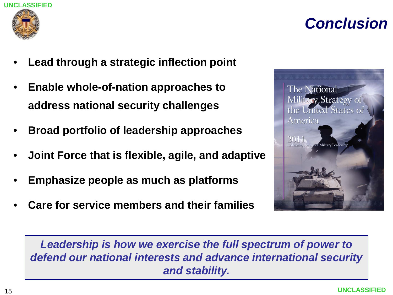<span id="page-14-0"></span>

### *Conclusion*

- **Lead through a strategic inflection point**
- **Enable whole-of-nation approaches to address national security challenges**
- **Broad portfolio of leadership approaches**
- **Joint Force that is flexible, agile, and adaptive**
- **Emphasize people as much as platforms**
- **Care for service members and their families**



*Leadership is how we exercise the full spectrum of power to defend our national interests and advance international security and stability.*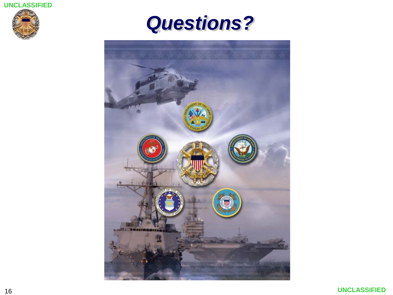



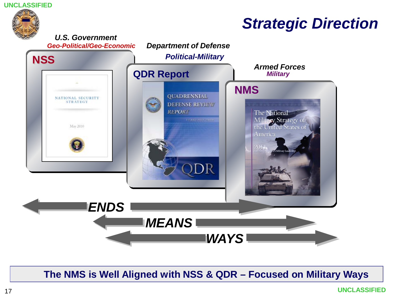

**The NMS is Well Aligned with NSS & QDR – Focused on Military Ways**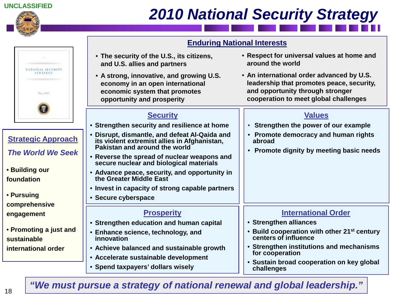#### **UNCLASSIFIED UN[CLASSIF](#page-14-0)IED**



# *2010 National Security Strategy*



### **Strategic Approach**

### *The World We Seek*

- **Building our foundation**
- **Pursuing comprehensive engagement**
- **Promoting a just and sustainable international order**

| <b>Enduring National Interests</b> |  |
|------------------------------------|--|
|------------------------------------|--|

- **Prosperity** • **Strengthen education and human capital** • **Enhance science, technology, and innovation International Order** • **Strengthen alliances** • **Build cooperation with other 21st century centers of influence** • **Respect for universal values at home and around the world** • **An international order advanced by U.S. leadership that promotes peace, security, and opportunity through stronger cooperation to meet global challenges** • **The security of the U.S., its citizens, and U.S. allies and partners** • **A strong, innovative, and growing U.S. economy in an open international economic system that promotes opportunity and prosperity Security** • **Strengthen security and resilience at home** • **Disrupt, dismantle, and defeat Al-Qaida and its violent extremist allies in Afghanistan, Pakistan and around the world** • **Reverse the spread of nuclear weapons and secure nuclear and biological materials** • **Advance peace, security, and opportunity in the Greater Middle East** • **Invest in capacity of strong capable partners** • **Secure cyberspace Values** • **Strengthen the power of our example** • **Promote democracy and human rights abroad** • **Promote dignity by meeting basic needs**
	- **Strengthen institutions and mechanisms for cooperation**
	- **Sustain broad cooperation on key global challenges**

"We must pursue a strategy of national renewal and global leadership."

• **Achieve balanced and sustainable growth**

• **Accelerate sustainable development**

• **Spend taxpayers' dollars wisely**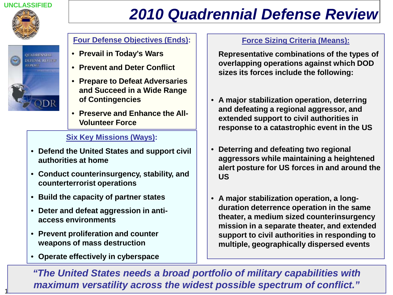



<u>1L</u>



### *2010 Quadrennial Defense Review*

#### **Four Defense Objectives (Ends):**

- **Prevail in Today's Wars**
- **Prevent and Deter Conflict**
- **Prepare to Defeat Adversaries and Succeed in a Wide Range of Contingencies**
- **Preserve and Enhance the All-Volunteer Force**

#### **Six Key Missions (Ways):**

- **Defend the United States and support civil authorities at home**
- **Conduct counterinsurgency, stability, and counterterrorist operations**
- **Build the capacity of partner states**
- **Deter and defeat aggression in antiaccess environments**
- **Prevent proliferation and counter weapons of mass destruction**
- **Operate effectively in cyberspace**

#### **Force Sizing Criteria (Means):**

**Representative combinations of the types of overlapping operations against which DOD sizes its forces include the following:**

- **A major stabilization operation, deterring and defeating a regional aggressor, and extended support to civil authorities in response to a catastrophic event in the US**
- **Deterring and defeating two regional aggressors while maintaining a heightened alert posture for US forces in and around the US**
- **A major stabilization operation, a longduration deterrence operation in the same theater, a medium sized counterinsurgency mission in a separate theater, and extended support to civil authorities in responding to multiple, geographically dispersed events**

*Maximum versatility across the widest possible spectrum of conflict." "The United States needs a broad portfolio of military capabilities with*